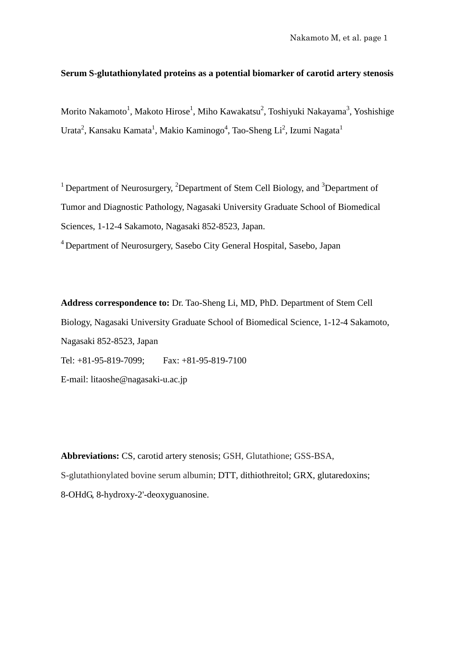### **Serum S-glutathionylated proteins as a potential biomarker of carotid artery stenosis**

Morito Nakamoto $^1$ , Makoto Hirose $^1$ , Miho Kawakatsu $^2$ , Toshiyuki Nakayama $^3$ , Yoshishige Urata<sup>2</sup>, Kansaku Kamata<sup>1</sup>, Makio Kaminogo<sup>4</sup>, Tao-Sheng Li<sup>2</sup>, Izumi Nagata<sup>1</sup>

<sup>1</sup> Department of Neurosurgery, <sup>2</sup>Department of Stem Cell Biology, and <sup>3</sup>Department of Tumor and Diagnostic Pathology, Nagasaki University Graduate School of Biomedical Sciences, 1-12-4 Sakamoto, Nagasaki 852-8523, Japan.

4 Department of Neurosurgery, Sasebo City General Hospital, Sasebo, Japan

**Address correspondence to:** Dr. Tao-Sheng Li, MD, PhD. Department of Stem Cell Biology, Nagasaki University Graduate School of Biomedical Science, 1-12-4 Sakamoto, Nagasaki 852-8523, Japan Tel: +81-95-819-7099; Fax: +81-95-819-7100 E-mail: litaoshe@nagasaki-u.ac.jp

**Abbreviations:** CS, carotid artery stenosis; GSH, Glutathione; GSS-BSA, S-glutathionylated bovine serum albumin; DTT, dithiothreitol; GRX, glutaredoxins; 8-OHdG, 8-hydroxy-2'-deoxyguanosine.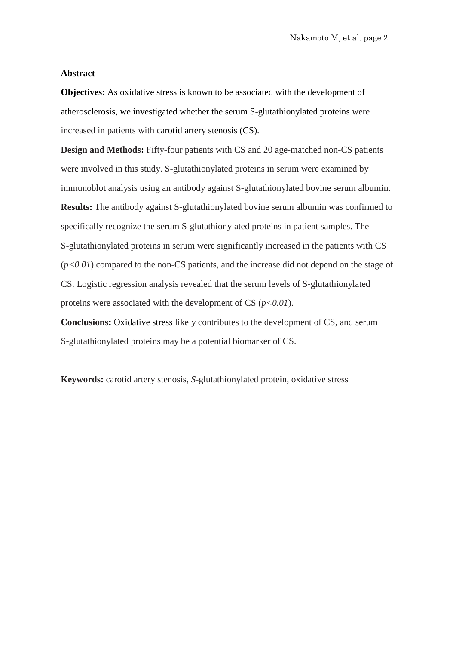#### **Abstract**

**Objectives:** As oxidative stress is known to be associated with the development of atherosclerosis, we investigated whether the serum S-glutathionylated proteins were increased in patients with carotid artery stenosis (CS).

**Design and Methods:** Fifty-four patients with CS and 20 age-matched non-CS patients were involved in this study. S-glutathionylated proteins in serum were examined by immunoblot analysis using an antibody against S-glutathionylated bovine serum albumin. **Results:** The antibody against S-glutathionylated bovine serum albumin was confirmed to specifically recognize the serum S-glutathionylated proteins in patient samples. The S-glutathionylated proteins in serum were significantly increased in the patients with CS  $(p<0.01)$  compared to the non-CS patients, and the increase did not depend on the stage of CS. Logistic regression analysis revealed that the serum levels of S-glutathionylated proteins were associated with the development of CS (*p<0.01*).

**Conclusions:** Oxidative stress likely contributes to the development of CS, and serum S-glutathionylated proteins may be a potential biomarker of CS.

**Keywords:** carotid artery stenosis, *S*-glutathionylated protein, oxidative stress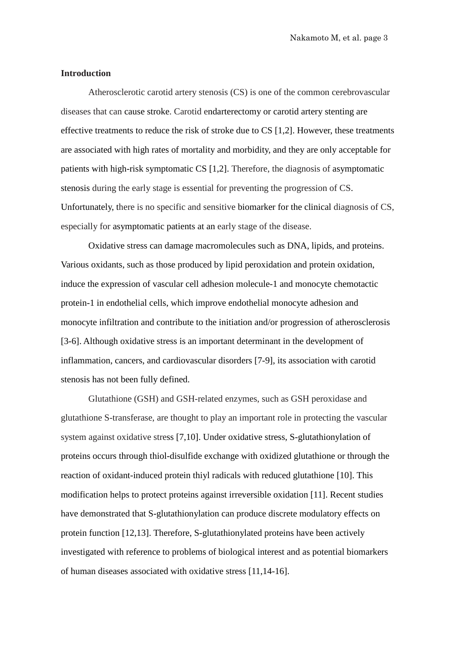#### **Introduction**

Atherosclerotic carotid artery stenosis (CS) is one of the common cerebrovascular diseases that can cause stroke. Carotid endarterectomy or carotid artery stenting are effective treatments to reduce the risk of stroke due to CS [1,2]. However, these treatments are associated with high rates of mortality and morbidity, and they are only acceptable for patients with high-risk symptomatic CS [1,2]. Therefore, the diagnosis of asymptomatic stenosis during the early stage is essential for preventing the progression of CS. Unfortunately, there is no specific and sensitive biomarker for the clinical diagnosis of CS, especially for asymptomatic patients at an early stage of the disease.

Oxidative stress can damage macromolecules such as DNA, lipids, and proteins. Various oxidants, such as those produced by lipid peroxidation and protein oxidation, induce the expression of vascular cell adhesion molecule-1 and monocyte chemotactic protein-1 in endothelial cells, which improve endothelial monocyte adhesion and monocyte infiltration and contribute to the initiation and/or progression of atherosclerosis [3-6]. Although oxidative stress is an important determinant in the development of inflammation, cancers, and cardiovascular disorders [7-9], its association with carotid stenosis has not been fully defined.

Glutathione (GSH) and GSH-related enzymes, such as GSH peroxidase and glutathione S-transferase, are thought to play an important role in protecting the vascular system against oxidative stress [7,10]. Under oxidative stress, S-glutathionylation of proteins occurs through thiol-disulfide exchange with oxidized glutathione or through the reaction of oxidant-induced protein thiyl radicals with reduced glutathione [10]. This modification helps to protect proteins against irreversible oxidation [11]. Recent studies have demonstrated that S-glutathionylation can produce discrete modulatory effects on protein function [12,13]. Therefore, S-glutathionylated proteins have been actively investigated with reference to problems of biological interest and as potential biomarkers of human diseases associated with oxidative stress [11,14-16].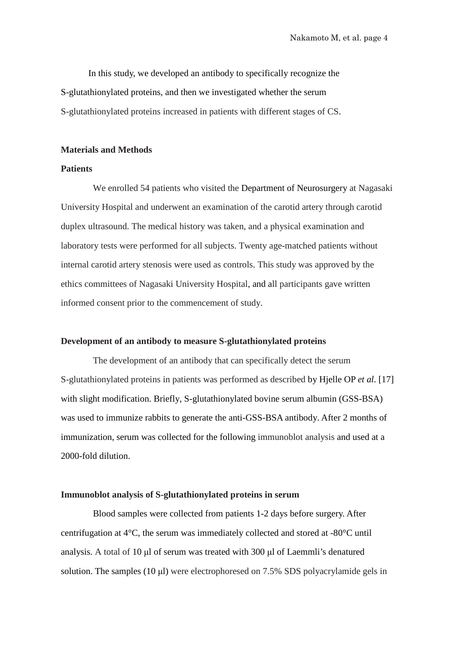In this study, we developed an antibody to specifically recognize the S-glutathionylated proteins, and then we investigated whether the serum S-glutathionylated proteins increased in patients with different stages of CS.

#### **Materials and Methods**

#### **Patients**

We enrolled 54 patients who visited the Department of Neurosurgery at Nagasaki University Hospital and underwent an examination of the carotid artery through carotid duplex ultrasound. The medical history was taken, and a physical examination and laboratory tests were performed for all subjects. Twenty age-matched patients without internal carotid artery stenosis were used as controls. This study was approved by the ethics committees of Nagasaki University Hospital, and all participants gave written informed consent prior to the commencement of study.

#### **Development of an antibody to measure S-glutathionylated proteins**

The development of an antibody that can specifically detect the serum S-glutathionylated proteins in patients was performed as described by [Hjelle OP](http://www.ncbi.nlm.nih.gov/sites/entrez?Db=pubmed&Cmd=Search&Term=%22Hjelle%20OP%22%5BAuthor%5D&itool=EntrezSystem2.PEntrez.Pubmed.Pubmed_ResultsPanel.Pubmed_DiscoveryPanel.Pubmed_RVAbstractPlus) *et al*. [17] with slight modification. Briefly, S-glutathionylated bovine serum albumin (GSS-BSA) was used to immunize rabbits to generate the anti-GSS-BSA antibody. After 2 months of immunization, serum was collected for the following immunoblot analysis and used at a 2000-fold dilution.

#### **Immunoblot analysis of S-glutathionylated proteins in serum**

Blood samples were collected from patients 1-2 days before surgery. After centrifugation at 4°C, the serum was immediately collected and stored at -80°C until analysis. A total of 10 μl of serum was treated with 300 μl of Laemmli's denatured solution. The samples (10 μl) were electrophoresed on 7.5% SDS polyacrylamide gels in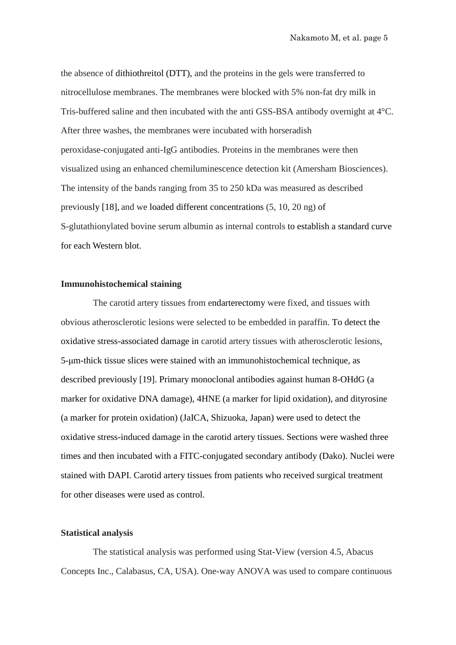the absence of dithiothreitol (DTT), and the proteins in the gels were transferred to nitrocellulose membranes. The membranes were blocked with 5% non-fat dry milk in Tris-buffered saline and then incubated with the anti GSS-BSA antibody overnight at 4°C. After three washes, the membranes were incubated with horseradish peroxidase-conjugated anti-IgG antibodies. Proteins in the membranes were then visualized using an enhanced chemiluminescence detection kit (Amersham Biosciences). The intensity of the bands ranging from 35 to 250 kDa was measured as described previously [18], and we loaded different concentrations (5, 10, 20 ng) of S-glutathionylated bovine serum albumin as internal controls to establish a standard curve for each Western blot.

#### **Immunohistochemical staining**

The carotid artery tissues from endarterectomy were fixed, and tissues with obvious atherosclerotic lesions were selected to be embedded in paraffin. To detect the oxidative stress-associated damage in carotid artery tissues with atherosclerotic lesions, 5-μm-thick tissue slices were stained with an immunohistochemical technique, as described previously [19]. Primary monoclonal antibodies against human 8-OHdG (a marker for oxidative DNA damage), 4HNE (a marker for lipid oxidation), and dityrosine (a marker for protein oxidation) (JaICA, Shizuoka, Japan) were used to detect the oxidative stress-induced damage in the carotid artery tissues. Sections were washed three times and then incubated with a FITC-conjugated secondary antibody (Dako). Nuclei were stained with DAPI. Carotid artery tissues from patients who received surgical treatment for other diseases were used as control.

#### **Statistical analysis**

The statistical analysis was performed using Stat-View (version 4.5, Abacus Concepts Inc., Calabasus, CA, USA). One-way ANOVA was used to compare continuous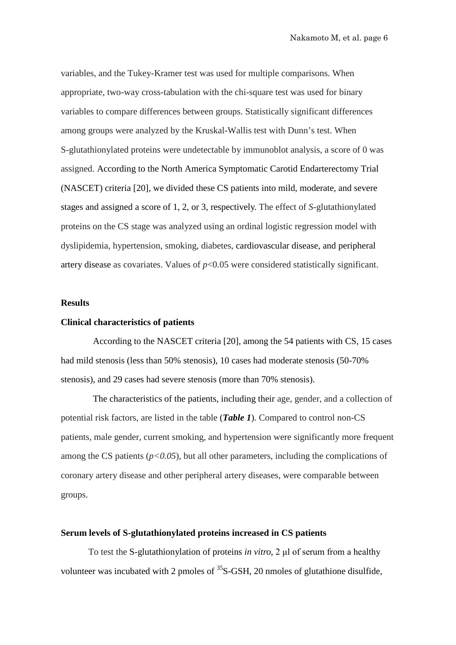variables, and the Tukey-Kramer test was used for multiple comparisons. When appropriate, two-way cross-tabulation with the chi-square test was used for binary variables to compare differences between groups. Statistically significant differences among groups were analyzed by the Kruskal-Wallis test with Dunn's test. When S-glutathionylated proteins were undetectable by immunoblot analysis, a score of 0 was assigned. According to the North America Symptomatic Carotid Endarterectomy Trial (NASCET) criteria [20], we divided these CS patients into mild, moderate, and severe stages and assigned a score of 1, 2, or 3, respectively. The effect of *S*-glutathionylated proteins on the CS stage was analyzed using an ordinal logistic regression model with dyslipidemia, hypertension, smoking, diabetes, cardiovascular disease, and peripheral artery disease as covariates. Values of *p*<0.05 were considered statistically significant.

#### **Results**

#### **Clinical characteristics of patients**

According to the NASCET criteria [20], among the 54 patients with CS, 15 cases had mild stenosis (less than 50% stenosis), 10 cases had moderate stenosis (50-70% stenosis), and 29 cases had severe stenosis (more than 70% stenosis).

The characteristics of the patients, including their age, gender, and a collection of potential risk factors, are listed in the table (*Table 1*). Compared to control non-CS patients, male gender, current smoking, and hypertension were significantly more frequent among the CS patients  $(p<0.05)$ , but all other parameters, including the complications of coronary artery disease and other peripheral artery diseases, were comparable between groups.

#### **Serum levels of S-glutathionylated proteins increased in CS patients**

To test the S-glutathionylation of proteins *in vitro*, 2 μl of serum from a healthy volunteer was incubated with 2 pmoles of  ${}^{35}S$ -GSH, 20 nmoles of glutathione disulfide,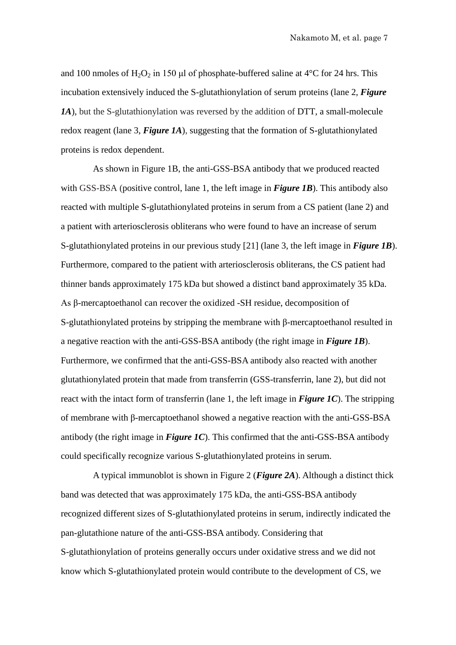and 100 nmoles of H<sub>2</sub>O<sub>2</sub> in 150 μl of phosphate-buffered saline at  $4^{\circ}$ C for 24 hrs. This incubation extensively induced the S-glutathionylation of serum proteins (lane 2, *Figure 1A*), but the S-glutathionylation was reversed by the addition of DTT, a small-molecule redox reagent (lane 3, *Figure 1A*), suggesting that the formation of S-glutathionylated proteins is redox dependent.

As shown in Figure 1B, the anti-GSS-BSA antibody that we produced reacted with GSS-BSA (positive control, lane 1, the left image in *Figure 1B*). This antibody also reacted with multiple S-glutathionylated proteins in serum from a CS patient (lane 2) and a patient with arteriosclerosis obliterans who were found to have an increase of serum S-glutathionylated proteins in our previous study [21] (lane 3, the left image in *Figure 1B*). Furthermore, compared to the patient with arteriosclerosis obliterans, the CS patient had thinner bands approximately 175 kDa but showed a distinct band approximately 35 kDa. As β-mercaptoethanol can recover the oxidized -SH residue, decomposition of S-glutathionylated proteins by stripping the membrane with β-mercaptoethanol resulted in a negative reaction with the anti-GSS-BSA antibody (the right image in *Figure 1B*). Furthermore, we confirmed that the anti-GSS-BSA antibody also reacted with another glutathionylated protein that made from transferrin (GSS-transferrin, lane 2), but did not react with the intact form of transferrin (lane 1, the left image in *Figure 1C*). The stripping of membrane with β-mercaptoethanol showed a negative reaction with the anti-GSS-BSA antibody (the right image in *Figure 1C*). This confirmed that the anti-GSS-BSA antibody could specifically recognize various S-glutathionylated proteins in serum.

A typical immunoblot is shown in Figure 2 (*Figure 2A*). Although a distinct thick band was detected that was approximately 175 kDa, the anti-GSS-BSA antibody recognized different sizes of S-glutathionylated proteins in serum, indirectly indicated the pan-glutathione nature of the anti-GSS-BSA antibody. Considering that S-glutathionylation of proteins generally occurs under oxidative stress and we did not know which S-glutathionylated protein would contribute to the development of CS, we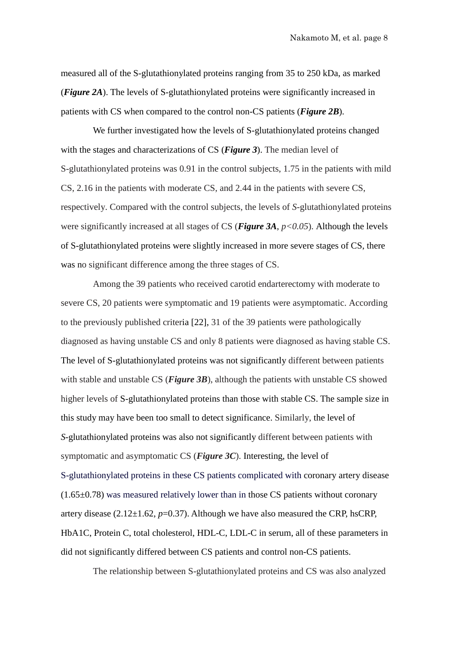measured all of the S-glutathionylated proteins ranging from 35 to 250 kDa, as marked (*Figure 2A*). The levels of S-glutathionylated proteins were significantly increased in patients with CS when compared to the control non-CS patients (*Figure 2B*).

We further investigated how the levels of S-glutathionylated proteins changed with the stages and characterizations of CS (*Figure 3*). The median level of S-glutathionylated proteins was 0.91 in the control subjects, 1.75 in the patients with mild CS, 2.16 in the patients with moderate CS, and 2.44 in the patients with severe CS, respectively. Compared with the control subjects, the levels of *S*-glutathionylated proteins were significantly increased at all stages of CS (*Figure 3A*, *p<0.05*). Although the levels of S-glutathionylated proteins were slightly increased in more severe stages of CS, there was no significant difference among the three stages of CS.

Among the 39 patients who received carotid endarterectomy with moderate to severe CS, 20 patients were symptomatic and 19 patients were asymptomatic. According to the previously published criteria [22], 31 of the 39 patients were pathologically diagnosed as having unstable CS and only 8 patients were diagnosed as having stable CS. The level of S-glutathionylated proteins was not significantly different between patients with stable and unstable CS (*Figure 3B*), although the patients with unstable CS showed higher levels of S-glutathionylated proteins than those with stable CS. The sample size in this study may have been too small to detect significance. Similarly, the level of *S*-glutathionylated proteins was also not significantly different between patients with symptomatic and asymptomatic CS (*Figure 3C*). Interesting, the level of S-glutathionylated proteins in these CS patients complicated with coronary artery disease  $(1.65\pm0.78)$  was measured relatively lower than in those CS patients without coronary artery disease  $(2.12 \pm 1.62, p=0.37)$ . Although we have also measured the CRP, hsCRP, HbA1C, Protein C, total cholesterol, HDL-C, LDL-C in serum, all of these parameters in did not significantly differed between CS patients and control non-CS patients.

The relationship between S-glutathionylated proteins and CS was also analyzed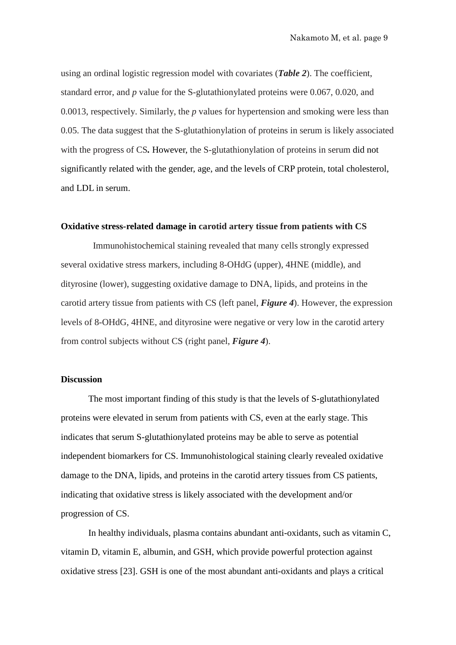using an ordinal logistic regression model with covariates (*Table 2*). The coefficient, standard error, and *p* value for the S-glutathionylated proteins were 0.067, 0.020, and 0.0013, respectively. Similarly, the *p* values for hypertension and smoking were less than 0.05. The data suggest that the S-glutathionylation of proteins in serum is likely associated with the progress of CS*.* However, the S-glutathionylation of proteins in serum did not significantly related with the gender, age, and the levels of CRP protein, total cholesterol, and LDL in serum.

#### **Oxidative stress-related damage in carotid artery tissue from patients with CS**

Immunohistochemical staining revealed that many cells strongly expressed several oxidative stress markers, including 8-OHdG (upper), 4HNE (middle), and dityrosine (lower), suggesting oxidative damage to DNA, lipids, and proteins in the carotid artery tissue from patients with CS (left panel, *Figure 4*). However, the expression levels of 8-OHdG, 4HNE, and dityrosine were negative or very low in the carotid artery from control subjects without CS (right panel, *Figure 4*).

#### **Discussion**

The most important finding of this study is that the levels of S-glutathionylated proteins were elevated in serum from patients with CS, even at the early stage. This indicates that serum S-glutathionylated proteins may be able to serve as potential independent biomarkers for CS. Immunohistological staining clearly revealed oxidative damage to the DNA, lipids, and proteins in the carotid artery tissues from CS patients, indicating that oxidative stress is likely associated with the development and/or progression of CS.

In healthy individuals, plasma contains abundant anti-oxidants, such as vitamin C, vitamin D, vitamin E, albumin, and GSH, which provide powerful protection against oxidative stress [23]. GSH is one of the most abundant anti-oxidants and plays a critical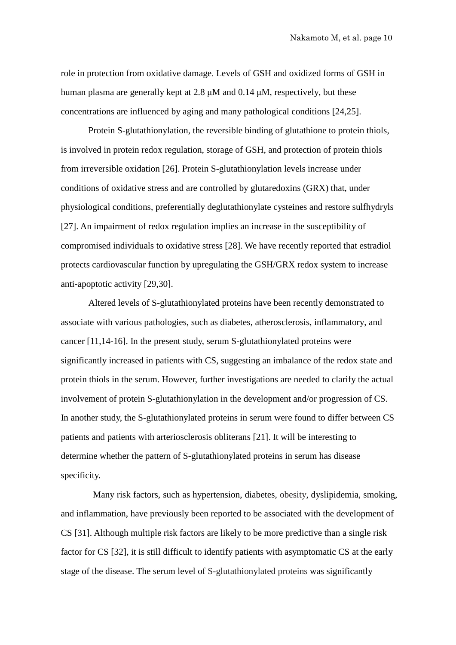role in protection from oxidative damage. Levels of GSH and oxidized forms of GSH in human plasma are generally kept at 2.8 μM and 0.14 μM, respectively, but these concentrations are influenced by aging and many pathological conditions [24,25].

Protein S-glutathionylation, the reversible binding of glutathione to protein thiols, is involved in protein redox regulation, storage of GSH, and protection of protein thiols from irreversible oxidation [26]. Protein S-glutathionylation levels increase under conditions of oxidative stress and are controlled by glutaredoxins (GRX) that, under physiological conditions, preferentially deglutathionylate cysteines and restore sulfhydryls [27]. An impairment of redox regulation implies an increase in the susceptibility of compromised individuals to oxidative stress [28]. We have recently reported that estradiol protects cardiovascular function by upregulating the GSH/GRX redox system to increase anti-apoptotic activity [29,30].

Altered levels of S-glutathionylated proteins have been recently demonstrated to associate with various pathologies, such as diabetes, atherosclerosis, inflammatory, and cancer [11,14-16]. In the present study, serum S-glutathionylated proteins were significantly increased in patients with CS, suggesting an imbalance of the redox state and protein thiols in the serum. However, further investigations are needed to clarify the actual involvement of protein S-glutathionylation in the development and/or progression of CS. In another study, the S-glutathionylated proteins in serum were found to differ between CS patients and patients with arteriosclerosis obliterans [21]. It will be interesting to determine whether the pattern of S-glutathionylated proteins in serum has disease specificity.

Many risk factors, such as hypertension, diabetes, obesity, dyslipidemia, smoking, and inflammation, have previously been reported to be associated with the development of CS [31]. Although multiple risk factors are likely to be more predictive than a single risk factor for CS [32], it is still difficult to identify patients with asymptomatic CS at the early stage of the disease. The serum level of S-glutathionylated proteins was significantly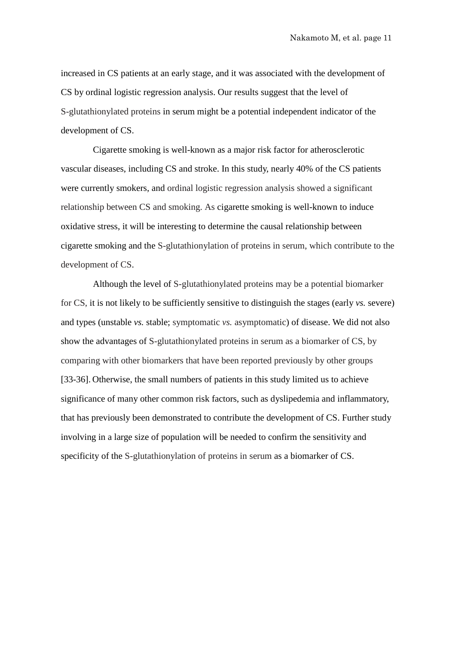increased in CS patients at an early stage, and it was associated with the development of CS by ordinal logistic regression analysis. Our results suggest that the level of S-glutathionylated proteins in serum might be a potential independent indicator of the development of CS.

Cigarette smoking is well-known as a major risk factor for atherosclerotic vascular diseases, including CS and stroke. In this study, nearly 40% of the CS patients were currently smokers, and ordinal logistic regression analysis showed a significant relationship between CS and smoking. As cigarette smoking is well-known to induce oxidative stress, it will be interesting to determine the causal relationship between cigarette smoking and the S-glutathionylation of proteins in serum, which contribute to the development of CS.

Although the level of S-glutathionylated proteins may be a potential biomarker for CS, it is not likely to be sufficiently sensitive to distinguish the stages (early *vs.* severe) and types (unstable *vs.* stable; symptomatic *vs.* asymptomatic) of disease. We did not also show the advantages of S-glutathionylated proteins in serum as a biomarker of CS, by comparing with other biomarkers that have been reported previously by other groups [33-36]. Otherwise, the small numbers of patients in this study limited us to achieve significance of many other common risk factors, such as dyslipedemia and inflammatory, that has previously been demonstrated to contribute the development of CS. Further study involving in a large size of population will be needed to confirm the sensitivity and specificity of the S-glutathionylation of proteins in serum as a biomarker of CS.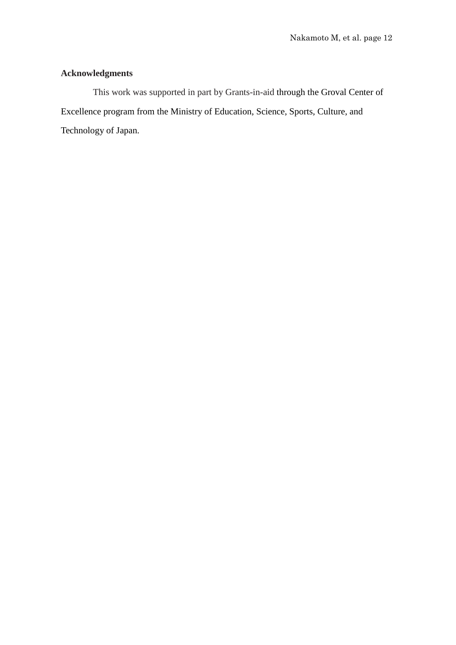### **Acknowledgments**

This work was supported in part by Grants-in-aid through the Groval Center of Excellence program from the Ministry of Education, Science, Sports, Culture, and Technology of Japan.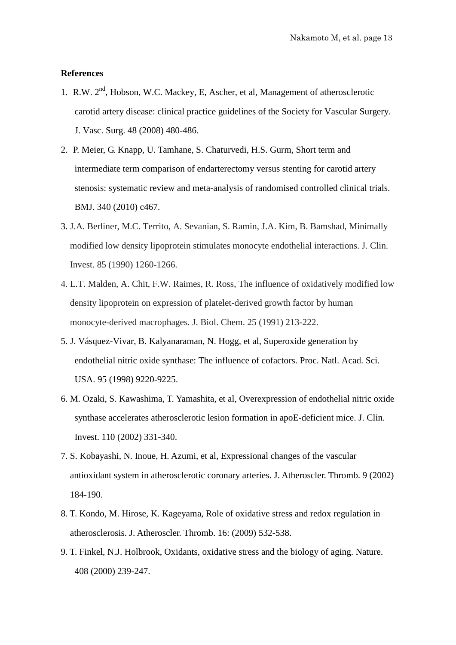#### **References**

- 1. R.W. 2<sup>nd</sup>, Hobson, W.C. Mackey, E. Ascher, et al, Management of atherosclerotic [carotid artery disease: clinical practice guidelines of the Society for Vascular Surgery.](http://www.ncbi.nlm.nih.gov/pubmed/18644494) J. Vasc. Surg. 48 (2008) 480-486.
- 2. P. Meier, G. Knapp, U. Tamhane, S. Chaturvedi, H.S. Gurm, [Short term and](http://www.ncbi.nlm.nih.gov/pubmed/20154049)  [intermediate term comparison of endarterectomy versus stenting for carotid artery](http://www.ncbi.nlm.nih.gov/pubmed/20154049)  [stenosis: systematic review and meta-analysis of randomised controlled clinical trials.](http://www.ncbi.nlm.nih.gov/pubmed/20154049) BMJ. 340 (2010) c467.
- 3. J.A. Berliner, M.C. Territo, A. Sevanian, S. Ramin, J.A. Kim, B. Bamshad, Minimally modified low density lipoprotein stimulates monocyte endothelial interactions. J. Clin. Invest. 85 (1990) 1260-1266.
- 4. L.T. Malden, A. Chit, F.W. Raimes, R. Ross, The influence of oxidatively modified low density lipoprotein on expression of platelet-derived growth factor by human monocyte-derived macrophages. J. Biol. Chem. 25 (1991) 213-222.
- 5. J. Vásquez-Vivar, B. Kalyanaraman, N. Hogg, et al, Superoxide generation by endothelial nitric oxide synthase: The influence of cofactors. Proc. Natl. Acad. Sci. USA. 95 (1998) 9220-9225.
- 6. M. Ozaki, S. Kawashima, T. Yamashita, et al, Overexpression of endothelial nitric oxide synthase accelerates atherosclerotic lesion formation in apoE-deficient mice. J. Clin. Invest. 110 (2002) 331-340.
- 7. S. Kobayashi, N. Inoue, H. Azumi, et al, Expressional changes of the vascular antioxidant system in atherosclerotic coronary arteries. J. Atheroscler. Thromb. 9 (2002) 184-190.
- 8. T. Kondo, M. Hirose, K. Kageyama, Role of oxidative stress and redox regulation in atherosclerosis. J. Atheroscler. Thromb. 16: (2009) 532-538.
- 9. T. Finkel, N.J. Holbrook, Oxidants, oxidative stress and the biology of aging. Nature. 408 (2000) 239-247.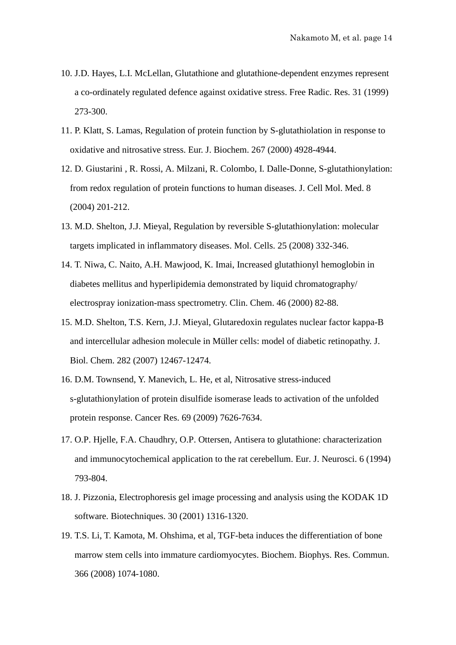- 10. J.D. Hayes, L.I. McLellan, [Glutathione and glutathione-dependent enzymes represent](http://www.ncbi.nlm.nih.gov/pubmed/10517533)  [a co-ordinately regulated defence against oxidative stress.](http://www.ncbi.nlm.nih.gov/pubmed/10517533) Free Radic. Res. 31 (1999) 273-300.
- 11. P. Klatt, S. Lamas, [Regulation of protein function by S-glutathiolation in response to](http://www.ncbi.nlm.nih.gov/pubmed/10931175)  [oxidative and nitrosative stress.](http://www.ncbi.nlm.nih.gov/pubmed/10931175) Eur. J. Biochem. 267 (2000) 4928-4944.
- 12. D. [Giustarini ,](http://www.ncbi.nlm.nih.gov/pubmed?term=%22Giustarini%20D%22%5BAuthor%5D) R. [Rossi,](http://www.ncbi.nlm.nih.gov/pubmed?term=%22Rossi%20R%22%5BAuthor%5D) A. Milzani, R. Colombo, I. [Dalle-Donne,](http://www.ncbi.nlm.nih.gov/pubmed?term=%22Dalle-Donne%20I%22%5BAuthor%5D) S-glutathionylation: from redox regulation of protein functions to human diseases. J. [Cell Mol.](http://www.ncbi.nlm.nih.gov/pubmed?term=S-glutathionylation%20can%20produce%20discrete%20modulatory%20effects%20on%20protein%20function) Med. 8 (2004) 201-212.
- 13. M.D. Shelton, J.J. Mieyal, Regulation by reversible S-glutathionylation: molecular targets implicated in inflammatory diseases. Mol. [Cells.](http://www.ncbi.nlm.nih.gov/pubmed/18483468?dopt=Abstract) 25 (2008) 332-346.
- 14. T. Niwa, C. Naito, A.H. Mawjood, K. Imai, Increased glutathionyl hemoglobin in diabetes mellitus and hyperlipidemia demonstrated by liquid chromatography/ electrospray ionization-mass spectrometry. Clin. Chem. 46 (2000) 82-88.
- 15. M.D. Shelton, T.S. Kern, J.J. Mieyal, [Glutaredoxin regulates nuclear factor kappa-B](http://www.ncbi.nlm.nih.gov/pubmed/17324929)  [and intercellular adhesion molecule in Müller cells: model of diabetic retinopathy.](http://www.ncbi.nlm.nih.gov/pubmed/17324929) J. Biol. Chem. 282 (2007) 12467-12474.
- 16. D.M. Townsend, Y. Manevich, L. He, et al, [Nitrosative stress-induced](http://www.ncbi.nlm.nih.gov/pubmed/19773442)  [s-glutathionylation of protein disulfide isomerase leads to activation of the unfolded](http://www.ncbi.nlm.nih.gov/pubmed/19773442)  [protein response.](http://www.ncbi.nlm.nih.gov/pubmed/19773442) Cancer Res. 69 (2009) 7626-7634.
- 17. O.P. Hjelle, F.A. Chaudhry, O.P. Ottersen, Antisera to glutathione: characterization and immunocytochemical application to the rat cerebellum. Eur. J. Neurosci. 6 (1994) 793-804.
- 18. J. [Pizzonia,](http://www.ncbi.nlm.nih.gov/pubmed?term=%22Pizzonia%20J%22%5BAuthor%5D) Electrophoresis gel image processing and analysis using the KODAK 1D software. [Biotechniques.](http://www.ncbi.nlm.nih.gov/pubmed?term=EDAS%20290) 30 (2001) 1316-1320.
- 19. T.S. Li, T. [Kamota, M. Ohshima, et](http://www.ncbi.nlm.nih.gov/entrez/query.fcgi?db=pubmed&cmd=Retrieve&dopt=AbstractPlus&list_uids=16977302&query_hl=1&itool=pubmed_docsum) al, TGF-beta induces the differentiation of bone marrow stem cells into immature cardiomyocytes. Biochem. Biophys. Res. Commun. 366 (2008) 1074-1080.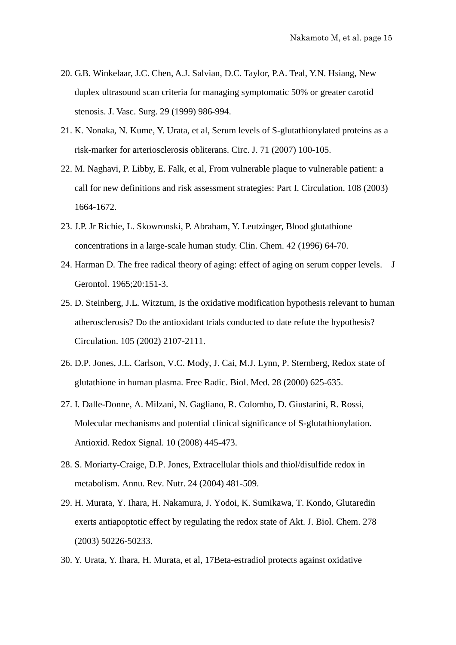- 20. G.B. Winkelaar, J.C. Chen, A.J. Salvian, D.C. Taylor, P.A. Teal, Y.N. Hsiang, [New](http://www.ncbi.nlm.nih.gov/pubmed/10359932)  [duplex ultrasound scan criteria for managing symptomatic 50% or greater carotid](http://www.ncbi.nlm.nih.gov/pubmed/10359932)  [stenosis.](http://www.ncbi.nlm.nih.gov/pubmed/10359932) J. Vasc. Surg. 29 (1999) 986-994.
- 21. K. Nonaka, N. Kume, Y. Urata, et al, [Serum levels of S-glutathionylated proteins as a](http://www.ncbi.nlm.nih.gov/pubmed/17186986)  [risk-marker for arteriosclerosis obliterans.](http://www.ncbi.nlm.nih.gov/pubmed/17186986) Circ. J. 71 (2007) 100-105.
- 22. M. Naghavi, P. Libby, E. Falk, et al, [From vulnerable plaque to vulnerable patient: a](http://www.ncbi.nlm.nih.gov/pubmed/14530185)  [call for new definitions and risk assessment strategies: Part I.](http://www.ncbi.nlm.nih.gov/pubmed/14530185) Circulation. 108 (2003) 1664-1672.
- 23. J.P. Jr Richie, L. Skowronski, P. Abraham, Y. Leutzinger, [Blood glutathione](http://www.ncbi.nlm.nih.gov/pubmed/8565235)  [concentrations in a large-scale human study.](http://www.ncbi.nlm.nih.gov/pubmed/8565235) Clin. Chem. 42 (1996) 64-70.
- 24. Harman D. The free radical theory of aging: effect of aging on serum copper levels. J Gerontol. 1965;20:151-3.
- 25. D. Steinberg, J.L. Witztum, [Is the oxidative modification hypothesis relevant to human](http://www.ncbi.nlm.nih.gov/pubmed/11980692)  [atherosclerosis? Do the antioxidant trials conducted to date refute the hypothesis?](http://www.ncbi.nlm.nih.gov/pubmed/11980692) Circulation. 105 (2002) 2107-2111.
- 26. D.P. Jones, J.L. Carlson, V.C. Mody, J. Cai, M.J. Lynn, P. Sternberg, Redox state of glutathione in human plasma. Free Radic. Biol. Med. 28 (2000) 625-635.
- 27. I. Dalle-Donne, A. Milzani, N. Gagliano, R. Colombo, D. Giustarini, R. Rossi, [Molecular mechanisms and potential clinical significance of S-glutathionylation.](http://www.ncbi.nlm.nih.gov/pubmed/18092936) Antioxid. Redox Signal. 10 (2008) 445-473.
- 28. S. Moriarty-Craige, D.P. Jones, Extracellular thiols and thiol/disulfide redox in metabolism. Annu. Rev. Nutr. 24 (2004) 481-509.
- 29. H. Murata, Y. Ihara, H. Nakamura, J. Yodoi, K. Sumikawa, T. Kondo, Glutaredin exerts antiapoptotic effect by regulating the redox state of Akt. J. Biol. Chem. 278 (2003) 50226-50233.
- 30. Y. Urata, Y. Ihara, H. Murata, et al, 17Beta-estradiol protects against oxidative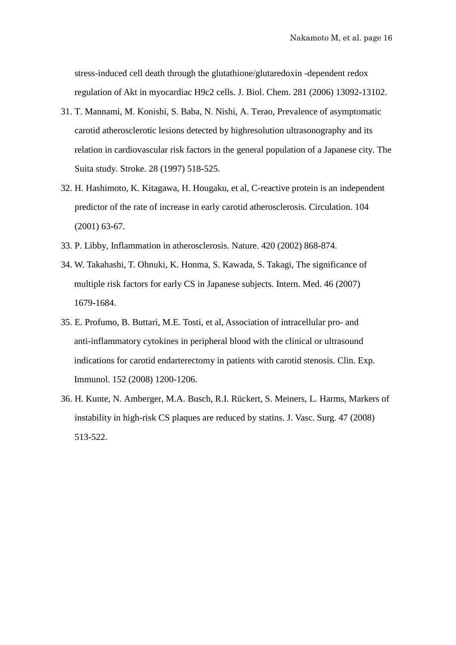stress-induced cell death through the glutathione/glutaredoxin -dependent redox regulation of Akt in myocardiac H9c2 cells. J. Biol. Chem. 281 (2006) 13092-13102.

- 31. T. Mannami, M. Konishi, S. Baba, N. Nishi, A. Terao, Prevalence of asymptomatic carotid atherosclerotic lesions detected by highresolution ultrasonography and its relation in cardiovascular risk factors in the general population of a Japanese city. The Suita study. Stroke. 28 (1997) 518-525.
- 32. H. Hashimoto, K. Kitagawa, H. Hougaku, et al, C-reactive protein is an independent predictor of the rate of increase in early carotid atherosclerosis. Circulation. 104 (2001) 63-67.
- 33. P. Libby, Inflammation in atherosclerosis. Nature. 420 (2002) 868-874.
- 34. W. Takahashi, T. Ohnuki, K. Honma, S. Kawada, S. Takagi, The significance of multiple risk factors for early CS in Japanese subjects. Intern. Med. 46 (2007) 1679-1684.
- 35. E. Profumo, B. Buttari, M.E. Tosti, et al, Association of intracellular pro- and anti-inflammatory cytokines in peripheral blood with the clinical or ultrasound indications for carotid endarterectomy in patients with carotid stenosis. Clin. Exp. Immunol. 152 (2008) 1200-1206.
- 36. H. Kunte, N. Amberger, M.A. Busch, R.I. Rückert, S. Meiners, L. Harms, Markers of instability in high-risk CS plaques are reduced by statins. J. Vasc. Surg. 47 (2008) 513-522.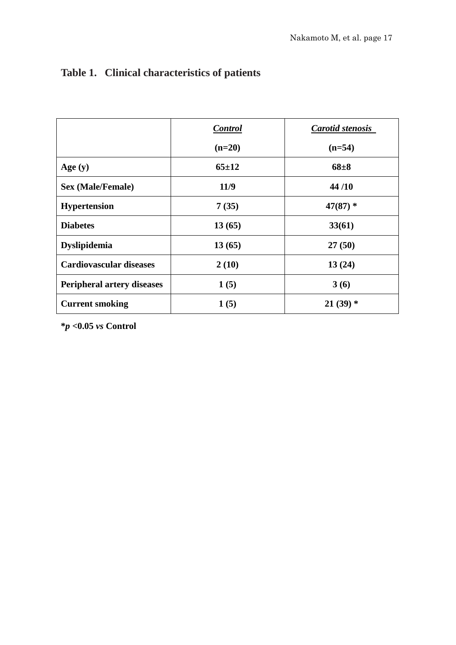|                                   | <b>Control</b> | <b>Carotid stenosis</b> |  |
|-----------------------------------|----------------|-------------------------|--|
|                                   | $(n=20)$       | $(n=54)$                |  |
| Age $(y)$                         | $65 + 12$      | $68 + 8$                |  |
| <b>Sex (Male/Female)</b>          | 11/9           | 44/10                   |  |
| <b>Hypertension</b>               | 7(35)          | $47(87)$ *              |  |
| <b>Diabetes</b>                   | 13(65)         | 33(61)                  |  |
| <b>Dyslipidemia</b>               | 13(65)         | 27(50)                  |  |
| <b>Cardiovascular diseases</b>    | 2(10)          | 13(24)                  |  |
| <b>Peripheral artery diseases</b> | 1(5)           | 3(6)                    |  |
| <b>Current smoking</b>            | 1(5)           | $21(39)$ *              |  |

## **Table 1. Clinical characteristics of patients**

**\****p* **<0.05** *vs* **Control**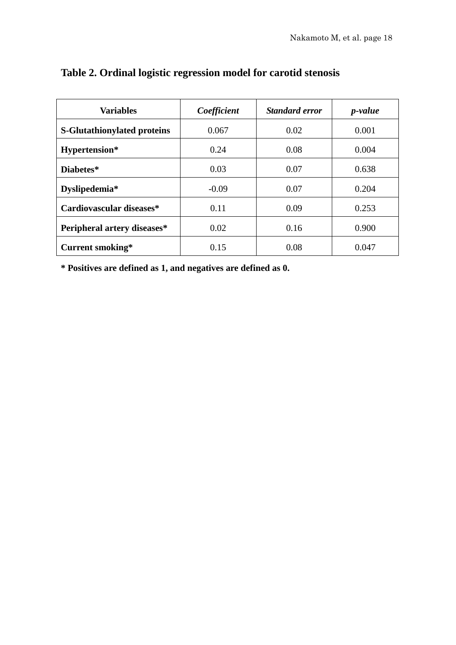| <b>Variables</b>                   | Coefficient | <b>Standard error</b> | <i>p</i> -value |
|------------------------------------|-------------|-----------------------|-----------------|
| <b>S-Glutathionylated proteins</b> | 0.067       | 0.02                  | 0.001           |
| Hypertension*                      | 0.24        | 0.08                  | 0.004           |
| Diabetes*                          | 0.03        | 0.07                  | 0.638           |
| Dyslipedemia*                      | $-0.09$     | 0.07                  | 0.204           |
| Cardiovascular diseases*           | 0.11        | 0.09                  | 0.253           |
| Peripheral artery diseases*        | 0.02        | 0.16                  | 0.900           |
| Current smoking*                   | 0.15        | 0.08                  | 0.047           |

### **Table 2. Ordinal logistic regression model for carotid stenosis**

**\* Positives are defined as 1, and negatives are defined as 0.**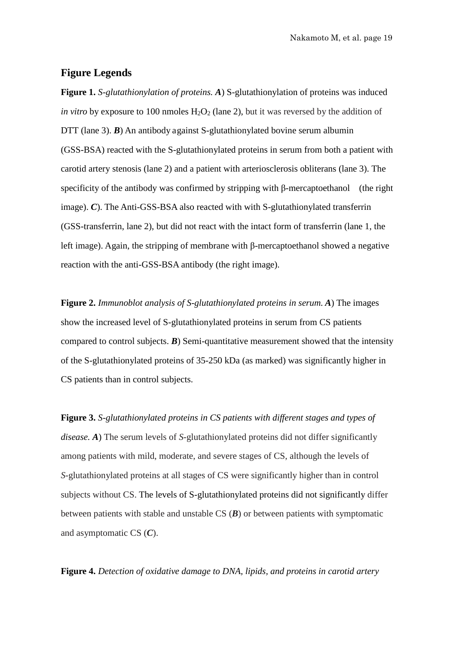#### **Figure Legends**

**Figure 1.** *S-glutathionylation of proteins. A*) S-glutathionylation of proteins was induced *in vitro* by exposure to 100 nmoles  $H_2O_2$  (lane 2), but it was reversed by the addition of DTT (lane 3). **B**) An antibody against S-glutathionylated bovine serum albumin (GSS-BSA) reacted with the S-glutathionylated proteins in serum from both a patient with carotid artery stenosis (lane 2) and a patient with arteriosclerosis obliterans (lane 3). The specificity of the antibody was confirmed by stripping with β-mercaptoethanol (the right image). *C*). The Anti-GSS-BSA also reacted with with S-glutathionylated transferrin (GSS-transferrin, lane 2), but did not react with the intact form of transferrin (lane 1, the left image). Again, the stripping of membrane with β-mercaptoethanol showed a negative reaction with the anti-GSS-BSA antibody (the right image).

**Figure 2.** *Immunoblot analysis of S-glutathionylated proteins in serum. A*) The images show the increased level of S-glutathionylated proteins in serum from CS patients compared to control subjects. *B*) Semi-quantitative measurement showed that the intensity of the S-glutathionylated proteins of 35-250 kDa (as marked) was significantly higher in CS patients than in control subjects.

**Figure 3.** *S-glutathionylated proteins in CS patients with different stages and types of disease. A*) The serum levels of *S*-glutathionylated proteins did not differ significantly among patients with mild, moderate, and severe stages of CS, although the levels of *S*-glutathionylated proteins at all stages of CS were significantly higher than in control subjects without CS. The levels of S-glutathionylated proteins did not significantly differ between patients with stable and unstable CS (*B*) or between patients with symptomatic and asymptomatic CS (*C*).

**Figure 4.** *Detection of oxidative damage to DNA, lipids, and proteins in carotid artery*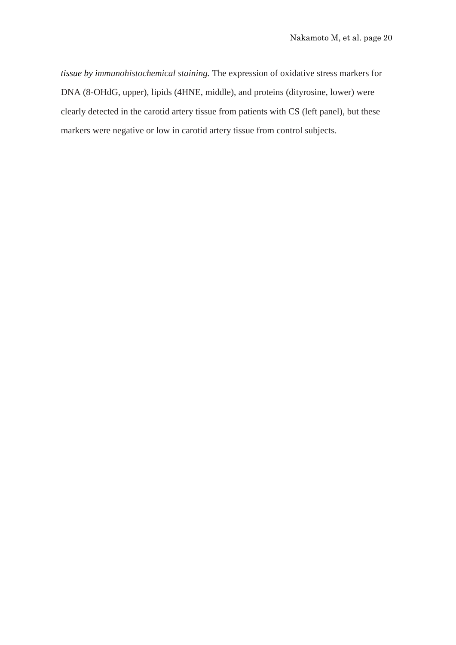*tissue by immunohistochemical staining.* The expression of oxidative stress markers for DNA (8-OHdG, upper), lipids (4HNE, middle), and proteins (dityrosine, lower) were clearly detected in the carotid artery tissue from patients with CS (left panel), but these markers were negative or low in carotid artery tissue from control subjects.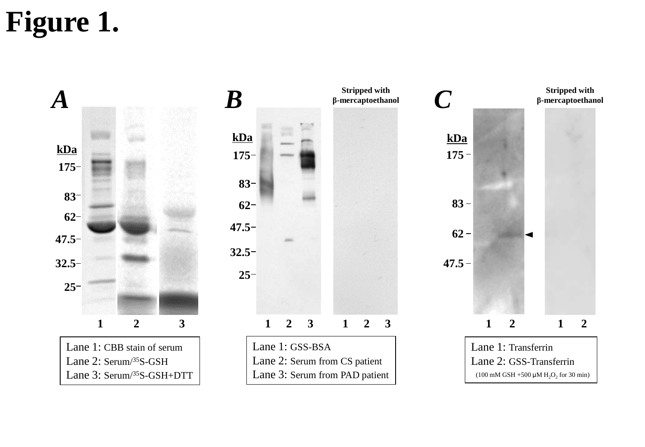# **Figure 1.**

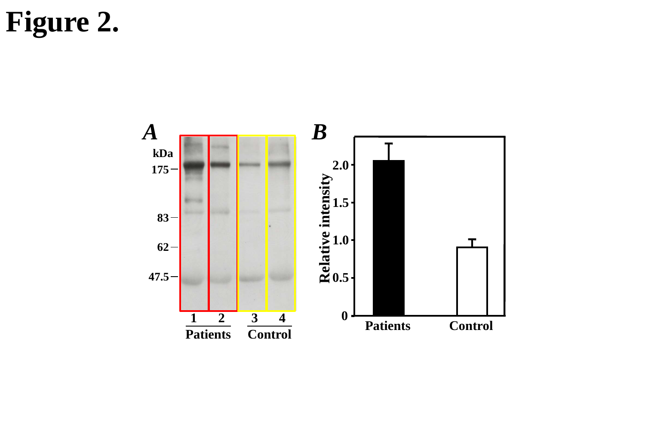## **Figure 2.**

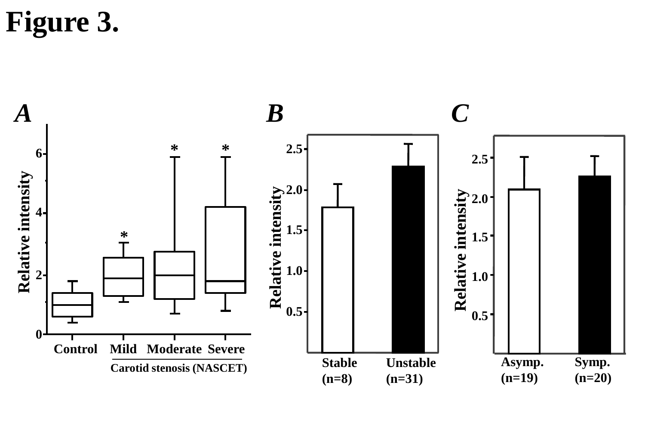**Figure 3.**